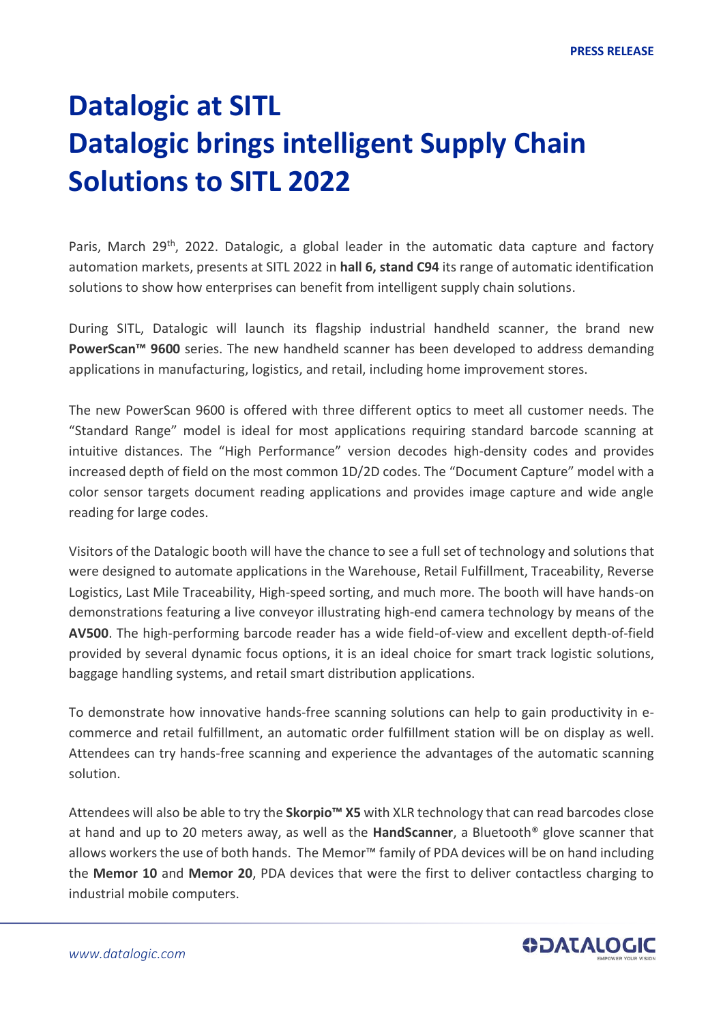## **Datalogic at SITL Datalogic brings intelligent Supply Chain Solutions to SITL 2022**

Paris, March 29<sup>th</sup>, 2022. Datalogic, a global leader in the automatic data capture and factory automation markets, presents at SITL 2022 in **hall 6, stand C94** its range of automatic identification solutions to show how enterprises can benefit from intelligent supply chain solutions.

During SITL, Datalogic will launch its flagship industrial handheld scanner, the brand new **PowerScan™ 9600** series. The new handheld scanner has been developed to address demanding applications in manufacturing, logistics, and retail, including home improvement stores.

The new PowerScan 9600 is offered with three different optics to meet all customer needs. The "Standard Range" model is ideal for most applications requiring standard barcode scanning at intuitive distances. The "High Performance" version decodes high-density codes and provides increased depth of field on the most common 1D/2D codes. The "Document Capture" model with a color sensor targets document reading applications and provides image capture and wide angle reading for large codes.

Visitors of the Datalogic booth will have the chance to see a full set of technology and solutions that were designed to automate applications in the Warehouse, Retail Fulfillment, Traceability, Reverse Logistics, Last Mile Traceability, High-speed sorting, and much more. The booth will have hands-on demonstrations featuring a live conveyor illustrating high-end camera technology by means of the **AV500**. The high-performing barcode reader has a wide field-of-view and excellent depth-of-field provided by several dynamic focus options, it is an ideal choice for smart track logistic solutions, baggage handling systems, and retail smart distribution applications.

To demonstrate how innovative hands-free scanning solutions can help to gain productivity in ecommerce and retail fulfillment, an automatic order fulfillment station will be on display as well. Attendees can try hands-free scanning and experience the advantages of the automatic scanning solution.

Attendees will also be able to try the **Skorpio™ X5** with XLR technology that can read barcodes close at hand and up to 20 meters away, as well as the **HandScanner**, a Bluetooth® glove scanner that allows workers the use of both hands. The Memor<sup>™</sup> family of PDA devices will be on hand including the **Memor 10** and **Memor 20**, PDA devices that were the first to deliver contactless charging to industrial mobile computers.